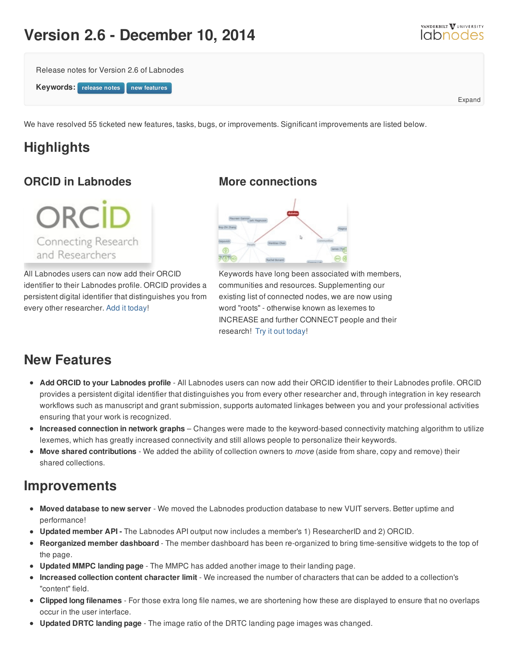# **Version 2.6 - December 10, 2014**



Expand

Release notes for Version 2.6 of Labnodes



We have resolved 55 ticketed new features, tasks, bugs, or improvements. Significant improvements are listed below.

## **Highlights**

### **ORCID in Labnodes**

**ORCID** Connecting Research and Researchers

All Labnodes users can now add their ORCID identifier to their Labnodes profile. ORCID provides a persistent digital identifier that distinguishes you from every other researcher. Add it [today](/member/manage-profile)!

#### **More connections**



Keywords have long been associated with members, communities and resources. Supplementing our existing list of connected nodes, we are now using word "roots" - otherwise known as lexemes to INCREASE and further CONNECT people and their research! Try it out [today](/community/keywords/keyword_id/941/keyword_name/Mouse/id/1418)!

## **New Features**

- **Add ORCID to your Labnodes profile** All Labnodes users can now add their ORCID identifier to their Labnodes profile. ORCID provides a persistent digital identifier that distinguishes you from every other researcher and, through integration in key research workflows such as manuscript and grant submission, supports automated linkages between you and your professional activities ensuring that your work is recognized.
- **Increased connection in network graphs** Changes were made to the keyword-based connectivity matching algorithm to utilize lexemes, which has greatly increased connectivity and still allows people to personalize their keywords.
- **Move shared contributions** We added the ability of collection owners to *move* (aside from share, copy and remove) their shared collections.

### **Improvements**

- **Moved database to new server** We moved the Labnodes production database to new VUIT servers. Better uptime and performance!
- **Updated member API -** The Labnodes API output now includes a member's 1) ResearcherID and 2) ORCID.
- **Reorganized member dashboard** The member dashboard has been re-organized to bring time-sensitive widgets to the top of the page.
- **Updated MMPC landing page** The MMPC has added another image to their landing page.
- **Increased collection content character limit** We increased the number of characters that can be added to a collection's "content" field.
- **Clipped long filenames** For those extra long file names, we are shortening how these are displayed to ensure that no overlaps occur in the user interface.
- **Updated DRTC landing page** The image ratio of the DRTC landing page images was changed.